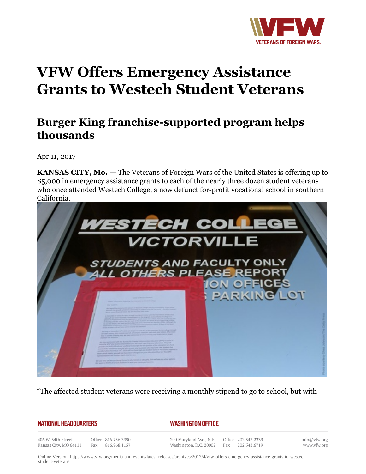

## **VFW Offers Emergency Assistance Grants to Westech Student Veterans**

## **Burger King franchise-supported program helps thousands**

Apr 11, 2017

**KANSAS CITY, Mo. —** The Veterans of Foreign Wars of the United States is offering up to \$5,000 in emergency assistance grants to each of the nearly three dozen student veterans who once attended Westech College, a now defunct for-profit vocational school in southern California.



"The affected student veterans were receiving a monthly stipend to go to school, but with

## **NATIONAL HEADQUARTERS**

## *WASHINGTON OFFICE*

406 W. 34th Street Kansas City, MO 64111

Office 816.756.3390 Fax 816.968.1157

200 Maryland Ave., N.E. Washington, D.C. 20002

Office 202.543.2239 Fax 202.543.6719

info@vfw.org www.vfw.org

Online Version: [https://www.vfw.org/media-and-events/latest-releases/archives/2017/4/vfw-offers-emergency-assistance-grants-to-westech](https://www.vfw.org/media-and-events/latest-releases/archives/2017/4/vfw-offers-emergency-assistance-grants-to-westech-student-veterans)[student-veterans](https://www.vfw.org/media-and-events/latest-releases/archives/2017/4/vfw-offers-emergency-assistance-grants-to-westech-student-veterans)